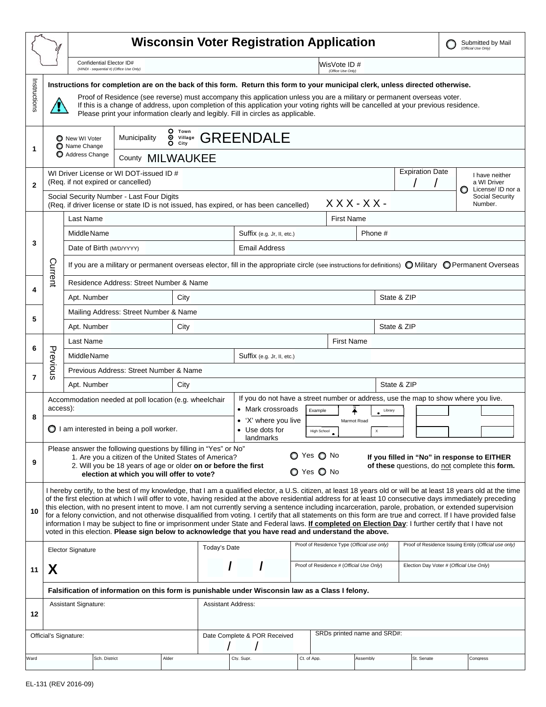|                                                                                          |                                                                                                                                                                                                                                                                                                                                                                                                                                                                                                                                                                                                                                                                                                                                                                                                                                                                                                                              |                                                                                                                                                        | <b>Wisconsin Voter Registration Application</b> |       |                                          |                                                                                                                               |  |                                          |                                             |          |                                                       | Submitted by Mail<br>(Official Use Only) |                                                    |  |
|------------------------------------------------------------------------------------------|------------------------------------------------------------------------------------------------------------------------------------------------------------------------------------------------------------------------------------------------------------------------------------------------------------------------------------------------------------------------------------------------------------------------------------------------------------------------------------------------------------------------------------------------------------------------------------------------------------------------------------------------------------------------------------------------------------------------------------------------------------------------------------------------------------------------------------------------------------------------------------------------------------------------------|--------------------------------------------------------------------------------------------------------------------------------------------------------|-------------------------------------------------|-------|------------------------------------------|-------------------------------------------------------------------------------------------------------------------------------|--|------------------------------------------|---------------------------------------------|----------|-------------------------------------------------------|------------------------------------------|----------------------------------------------------|--|
|                                                                                          |                                                                                                                                                                                                                                                                                                                                                                                                                                                                                                                                                                                                                                                                                                                                                                                                                                                                                                                              | Confidential Elector ID#<br>(HINDI - sequential #) (Office Use Only)                                                                                   |                                                 |       | WisVote ID#<br>(Office Use Only)         |                                                                                                                               |  |                                          |                                             |          |                                                       |                                          |                                                    |  |
| Instructions                                                                             | Instructions for completion are on the back of this form. Return this form to your municipal clerk, unless directed otherwise.<br>Proof of Residence (see reverse) must accompany this application unless you are a military or permanent overseas voter.<br>If this is a change of address, upon completion of this application your voting rights will be cancelled at your previous residence.<br>Please print your information clearly and legibly. Fill in circles as applicable.                                                                                                                                                                                                                                                                                                                                                                                                                                       |                                                                                                                                                        |                                                 |       |                                          |                                                                                                                               |  |                                          |                                             |          |                                                       |                                          |                                                    |  |
| O Town<br><b>O</b> Village GREENDALE<br>Municipality<br>New WI Voter<br>Name Change<br>1 |                                                                                                                                                                                                                                                                                                                                                                                                                                                                                                                                                                                                                                                                                                                                                                                                                                                                                                                              |                                                                                                                                                        |                                                 |       |                                          |                                                                                                                               |  |                                          |                                             |          |                                                       |                                          |                                                    |  |
|                                                                                          | Address Change<br>County MILWAUKEE                                                                                                                                                                                                                                                                                                                                                                                                                                                                                                                                                                                                                                                                                                                                                                                                                                                                                           |                                                                                                                                                        |                                                 |       |                                          |                                                                                                                               |  |                                          |                                             |          |                                                       |                                          |                                                    |  |
| $\mathbf{2}$                                                                             | WI Driver License or WI DOT-issued ID #<br>(Req. if not expired or cancelled)<br>Social Security Number - Last Four Digits                                                                                                                                                                                                                                                                                                                                                                                                                                                                                                                                                                                                                                                                                                                                                                                                   |                                                                                                                                                        |                                                 |       |                                          |                                                                                                                               |  |                                          |                                             |          | <b>Expiration Date</b>                                |                                          | I have neither<br>a WI Driver<br>License/ ID nor a |  |
|                                                                                          |                                                                                                                                                                                                                                                                                                                                                                                                                                                                                                                                                                                                                                                                                                                                                                                                                                                                                                                              | (Req. if driver license or state ID is not issued, has expired, or has been cancelled)                                                                 |                                                 |       | Social Security<br>$XXX-XX$ -<br>Number. |                                                                                                                               |  |                                          |                                             |          |                                                       |                                          |                                                    |  |
| 3                                                                                        |                                                                                                                                                                                                                                                                                                                                                                                                                                                                                                                                                                                                                                                                                                                                                                                                                                                                                                                              | Last Name                                                                                                                                              |                                                 |       |                                          | <b>First Name</b>                                                                                                             |  |                                          |                                             |          |                                                       |                                          |                                                    |  |
|                                                                                          |                                                                                                                                                                                                                                                                                                                                                                                                                                                                                                                                                                                                                                                                                                                                                                                                                                                                                                                              | Middle Name                                                                                                                                            |                                                 |       |                                          | Phone #<br>Suffix (e.g. Jr, II, etc.)                                                                                         |  |                                          |                                             |          |                                                       |                                          |                                                    |  |
|                                                                                          |                                                                                                                                                                                                                                                                                                                                                                                                                                                                                                                                                                                                                                                                                                                                                                                                                                                                                                                              | Date of Birth (M/D/YYYY)                                                                                                                               |                                                 |       |                                          | <b>Email Address</b>                                                                                                          |  |                                          |                                             |          |                                                       |                                          |                                                    |  |
|                                                                                          | Current                                                                                                                                                                                                                                                                                                                                                                                                                                                                                                                                                                                                                                                                                                                                                                                                                                                                                                                      | If you are a military or permanent overseas elector, fill in the appropriate circle (see instructions for definitions) O Military O Permanent Overseas |                                                 |       |                                          |                                                                                                                               |  |                                          |                                             |          |                                                       |                                          |                                                    |  |
|                                                                                          |                                                                                                                                                                                                                                                                                                                                                                                                                                                                                                                                                                                                                                                                                                                                                                                                                                                                                                                              |                                                                                                                                                        | Residence Address: Street Number & Name         |       |                                          |                                                                                                                               |  |                                          |                                             |          |                                                       |                                          |                                                    |  |
| 4                                                                                        |                                                                                                                                                                                                                                                                                                                                                                                                                                                                                                                                                                                                                                                                                                                                                                                                                                                                                                                              | Apt. Number                                                                                                                                            |                                                 |       |                                          |                                                                                                                               |  |                                          | State & ZIP                                 |          |                                                       |                                          |                                                    |  |
| 5                                                                                        |                                                                                                                                                                                                                                                                                                                                                                                                                                                                                                                                                                                                                                                                                                                                                                                                                                                                                                                              | Mailing Address: Street Number & Name                                                                                                                  |                                                 |       |                                          |                                                                                                                               |  |                                          |                                             |          |                                                       |                                          |                                                    |  |
|                                                                                          |                                                                                                                                                                                                                                                                                                                                                                                                                                                                                                                                                                                                                                                                                                                                                                                                                                                                                                                              | Apt. Number<br>City                                                                                                                                    |                                                 |       |                                          |                                                                                                                               |  |                                          |                                             |          | State & ZIP                                           |                                          |                                                    |  |
| 6                                                                                        |                                                                                                                                                                                                                                                                                                                                                                                                                                                                                                                                                                                                                                                                                                                                                                                                                                                                                                                              | Last Name                                                                                                                                              |                                                 |       |                                          | <b>First Name</b>                                                                                                             |  |                                          |                                             |          |                                                       |                                          |                                                    |  |
|                                                                                          | Previous                                                                                                                                                                                                                                                                                                                                                                                                                                                                                                                                                                                                                                                                                                                                                                                                                                                                                                                     | <b>Middle Name</b>                                                                                                                                     |                                                 |       |                                          | Suffix (e.g. Jr, II, etc.)                                                                                                    |  |                                          |                                             |          |                                                       |                                          |                                                    |  |
| $\overline{7}$                                                                           |                                                                                                                                                                                                                                                                                                                                                                                                                                                                                                                                                                                                                                                                                                                                                                                                                                                                                                                              | Previous Address: Street Number & Name                                                                                                                 |                                                 |       |                                          |                                                                                                                               |  |                                          |                                             |          |                                                       |                                          |                                                    |  |
|                                                                                          |                                                                                                                                                                                                                                                                                                                                                                                                                                                                                                                                                                                                                                                                                                                                                                                                                                                                                                                              | Apt. Number<br>City                                                                                                                                    |                                                 |       |                                          | State & ZIP                                                                                                                   |  |                                          |                                             |          |                                                       |                                          |                                                    |  |
| 8                                                                                        | Accommodation needed at poll location (e.g. wheelchair<br>access):                                                                                                                                                                                                                                                                                                                                                                                                                                                                                                                                                                                                                                                                                                                                                                                                                                                           |                                                                                                                                                        |                                                 |       |                                          | If you do not have a street number or address, use the map to show where you live.<br>• Mark crossroads<br>Example<br>Library |  |                                          |                                             |          |                                                       |                                          |                                                    |  |
|                                                                                          | I am interested in being a poll worker.                                                                                                                                                                                                                                                                                                                                                                                                                                                                                                                                                                                                                                                                                                                                                                                                                                                                                      |                                                                                                                                                        |                                                 |       |                                          | • 'X' where you live<br>Marmot Road<br>Use dots for<br>High School                                                            |  |                                          |                                             |          |                                                       |                                          |                                                    |  |
|                                                                                          |                                                                                                                                                                                                                                                                                                                                                                                                                                                                                                                                                                                                                                                                                                                                                                                                                                                                                                                              |                                                                                                                                                        | landmarks                                       |       |                                          | $\bullet$                                                                                                                     |  |                                          |                                             |          |                                                       |                                          |                                                    |  |
| 9                                                                                        | Please answer the following questions by filling in "Yes" or No"<br>$\bigcirc$ Yes $\bigcirc$ No<br>1. Are you a citizen of the United States of America?<br>If you filled in "No" in response to EITHER<br>2. Will you be 18 years of age or older on or before the first<br>of these questions, do not complete this form.<br>O Yes O No<br>election at which you will offer to vote?                                                                                                                                                                                                                                                                                                                                                                                                                                                                                                                                      |                                                                                                                                                        |                                                 |       |                                          |                                                                                                                               |  |                                          |                                             |          |                                                       |                                          |                                                    |  |
| 10                                                                                       | I hereby certify, to the best of my knowledge, that I am a qualified elector, a U.S. citizen, at least 18 years old or will be at least 18 years old at the time<br>of the first election at which I will offer to vote, having resided at the above residential address for at least 10 consecutive days immediately preceding<br>this election, with no present intent to move. I am not currently serving a sentence including incarceration, parole, probation, or extended supervision<br>for a felony conviction, and not otherwise disqualified from voting. I certify that all statements on this form are true and correct. If I have provided false<br>information I may be subject to fine or imprisonment under State and Federal laws. If completed on Election Day: I further certify that I have not<br>voted in this election. Please sign below to acknowledge that you have read and understand the above. |                                                                                                                                                        |                                                 |       |                                          |                                                                                                                               |  |                                          |                                             |          |                                                       |                                          |                                                    |  |
|                                                                                          |                                                                                                                                                                                                                                                                                                                                                                                                                                                                                                                                                                                                                                                                                                                                                                                                                                                                                                                              | <b>Elector Signature</b>                                                                                                                               |                                                 |       |                                          | Today's Date                                                                                                                  |  |                                          | Proof of Residence Type (Official use only) |          | Proof of Residence Issuing Entity (Official use only) |                                          |                                                    |  |
| 11                                                                                       | X                                                                                                                                                                                                                                                                                                                                                                                                                                                                                                                                                                                                                                                                                                                                                                                                                                                                                                                            |                                                                                                                                                        |                                                 |       |                                          |                                                                                                                               |  | Proof of Residence # (Official Use Only) |                                             |          | Election Day Voter # (Official Use Only)              |                                          |                                                    |  |
|                                                                                          |                                                                                                                                                                                                                                                                                                                                                                                                                                                                                                                                                                                                                                                                                                                                                                                                                                                                                                                              | Falsification of information on this form is punishable under Wisconsin law as a Class I felony.                                                       |                                                 |       |                                          |                                                                                                                               |  |                                          |                                             |          |                                                       |                                          |                                                    |  |
|                                                                                          |                                                                                                                                                                                                                                                                                                                                                                                                                                                                                                                                                                                                                                                                                                                                                                                                                                                                                                                              | Assistant Signature:                                                                                                                                   |                                                 |       | <b>Assistant Address:</b>                |                                                                                                                               |  |                                          |                                             |          |                                                       |                                          |                                                    |  |
| 12                                                                                       |                                                                                                                                                                                                                                                                                                                                                                                                                                                                                                                                                                                                                                                                                                                                                                                                                                                                                                                              |                                                                                                                                                        |                                                 |       |                                          |                                                                                                                               |  |                                          |                                             |          |                                                       |                                          |                                                    |  |
| SRDs printed name and SRD#:<br>Official's Signature:<br>Date Complete & POR Received     |                                                                                                                                                                                                                                                                                                                                                                                                                                                                                                                                                                                                                                                                                                                                                                                                                                                                                                                              |                                                                                                                                                        |                                                 |       |                                          |                                                                                                                               |  |                                          |                                             |          |                                                       |                                          |                                                    |  |
| Ward                                                                                     |                                                                                                                                                                                                                                                                                                                                                                                                                                                                                                                                                                                                                                                                                                                                                                                                                                                                                                                              | Sch. District                                                                                                                                          |                                                 | Alder |                                          | Ctv. Supr.                                                                                                                    |  | Ct. of App.                              |                                             | Assemblv | St. Senate                                            |                                          | Conaress                                           |  |